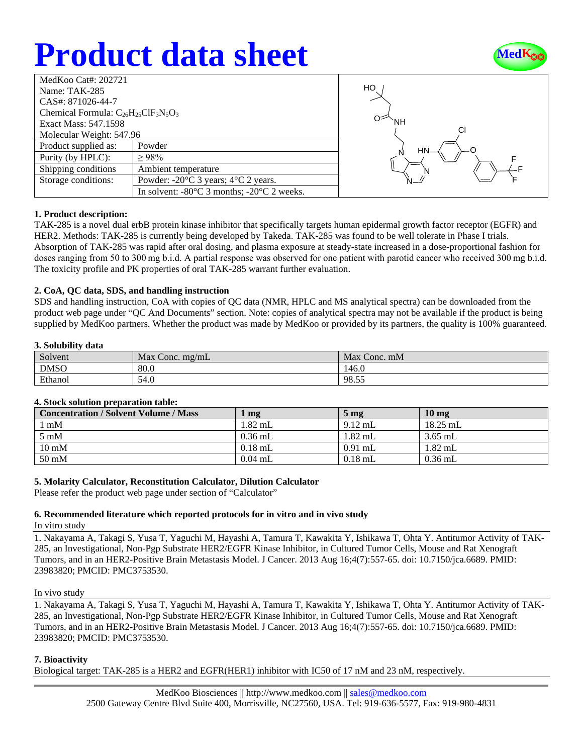# **Product data sheet**



| MedKoo Cat#: 202721                        |                                                                |  |  |  |
|--------------------------------------------|----------------------------------------------------------------|--|--|--|
| Name: TAK-285                              |                                                                |  |  |  |
| CAS#: 871026-44-7                          |                                                                |  |  |  |
| Chemical Formula: $C_{26}H_{25}CH_3N_5O_3$ |                                                                |  |  |  |
| Exact Mass: 547.1598                       |                                                                |  |  |  |
| Molecular Weight: 547.96                   |                                                                |  |  |  |
| Product supplied as:                       | Powder                                                         |  |  |  |
| Purity (by HPLC):                          | >98%                                                           |  |  |  |
| Shipping conditions                        | Ambient temperature                                            |  |  |  |
| Storage conditions:                        | Powder: $-20^{\circ}$ C 3 years; $4^{\circ}$ C 2 years.        |  |  |  |
|                                            | In solvent: $-80^{\circ}$ C 3 months; $-20^{\circ}$ C 2 weeks. |  |  |  |
|                                            |                                                                |  |  |  |



## **1. Product description:**

TAK-285 is a novel dual erbB protein kinase inhibitor that specifically targets human epidermal growth factor receptor (EGFR) and HER2. Methods: TAK-285 is currently being developed by Takeda. TAK-285 was found to be well tolerate in Phase I trials. Absorption of TAK-285 was rapid after oral dosing, and plasma exposure at steady-state increased in a dose-proportional fashion for doses ranging from 50 to 300 mg b.i.d. A partial response was observed for one patient with parotid cancer who received 300 mg b.i.d. The toxicity profile and PK properties of oral TAK-285 warrant further evaluation.

## **2. CoA, QC data, SDS, and handling instruction**

SDS and handling instruction, CoA with copies of QC data (NMR, HPLC and MS analytical spectra) can be downloaded from the product web page under "QC And Documents" section. Note: copies of analytical spectra may not be available if the product is being supplied by MedKoo partners. Whether the product was made by MedKoo or provided by its partners, the quality is 100% guaranteed.

## **3. Solubility data**

| Solvent     | Max Conc. $mg/mL$ | Max Conc. mM |
|-------------|-------------------|--------------|
| <b>DMSO</b> | 80.0              | 146.0        |
| Ethanol     | 54.0              | 98.55        |

## **4. Stock solution preparation table:**

| <b>Concentration / Solvent Volume / Mass</b> | $\mathbf{mg}$ | 5 <sub>mg</sub> | 10 <sub>mg</sub> |
|----------------------------------------------|---------------|-----------------|------------------|
| $1 \text{ mM}$                               | $1.82$ mL     | $9.12$ mL       | $18.25$ mL       |
| $5 \text{ mM}$                               | $0.36$ mL     | $1.82$ mL       | $3.65$ mL        |
| $10 \text{ mM}$                              | $0.18$ mL     | $0.91$ mL       | $1.82$ mL        |
| 50 mM                                        | $0.04$ mL     | $0.18$ mL       | $0.36$ mL        |

## **5. Molarity Calculator, Reconstitution Calculator, Dilution Calculator**

Please refer the product web page under section of "Calculator"

#### **6. Recommended literature which reported protocols for in vitro and in vivo study** In vitro study

1. Nakayama A, Takagi S, Yusa T, Yaguchi M, Hayashi A, Tamura T, Kawakita Y, Ishikawa T, Ohta Y. Antitumor Activity of TAK-285, an Investigational, Non-Pgp Substrate HER2/EGFR Kinase Inhibitor, in Cultured Tumor Cells, Mouse and Rat Xenograft Tumors, and in an HER2-Positive Brain Metastasis Model. J Cancer. 2013 Aug 16;4(7):557-65. doi: 10.7150/jca.6689. PMID: 23983820; PMCID: PMC3753530.

#### In vivo study

1. Nakayama A, Takagi S, Yusa T, Yaguchi M, Hayashi A, Tamura T, Kawakita Y, Ishikawa T, Ohta Y. Antitumor Activity of TAK-285, an Investigational, Non-Pgp Substrate HER2/EGFR Kinase Inhibitor, in Cultured Tumor Cells, Mouse and Rat Xenograft Tumors, and in an HER2-Positive Brain Metastasis Model. J Cancer. 2013 Aug 16;4(7):557-65. doi: 10.7150/jca.6689. PMID: 23983820; PMCID: PMC3753530.

## **7. Bioactivity**

Biological target: TAK-285 is a HER2 and EGFR(HER1) inhibitor with IC50 of 17 nM and 23 nM, respectively.